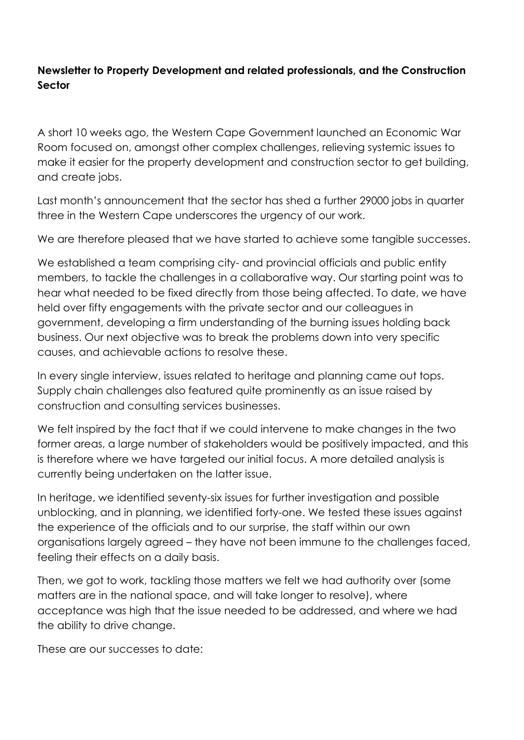## **Newsletter to Property Development and related professionals, and the Construction Sector**

A short 10 weeks ago, the Western Cape Government launched an Economic War Room focused on, amongst other complex challenges, relieving systemic issues to make it easier for the property development and construction sector to get building, and create jobs.

Last month's announcement that the sector has shed a further 29000 jobs in quarter three in the Western Cape underscores the urgency of our work.

We are therefore pleased that we have started to achieve some tangible successes.

We established a team comprising city- and provincial officials and public entity members, to tackle the challenges in a collaborative way. Our starting point was to hear what needed to be fixed directly from those being affected. To date, we have held over fifty engagements with the private sector and our colleagues in government, developing a firm understanding of the burning issues holding back business. Our next objective was to break the problems down into very specific causes, and achievable actions to resolve these.

In every single interview, issues related to heritage and planning came out tops. Supply chain challenges also featured quite prominently as an issue raised by construction and consulting services businesses.

We felt inspired by the fact that if we could intervene to make changes in the two former areas, a large number of stakeholders would be positively impacted, and this is therefore where we have targeted our initial focus. A more detailed analysis is currently being undertaken on the latter issue.

In heritage, we identified seventy-six issues for further investigation and possible unblocking, and in planning, we identified forty-one. We tested these issues against the experience of the officials and to our surprise, the staff within our own organisations largely agreed – they have not been immune to the challenges faced, feeling their effects on a daily basis.

Then, we got to work, tackling those matters we felt we had authority over (some matters are in the national space, and will take longer to resolve), where acceptance was high that the issue needed to be addressed, and where we had the ability to drive change.

These are our successes to date: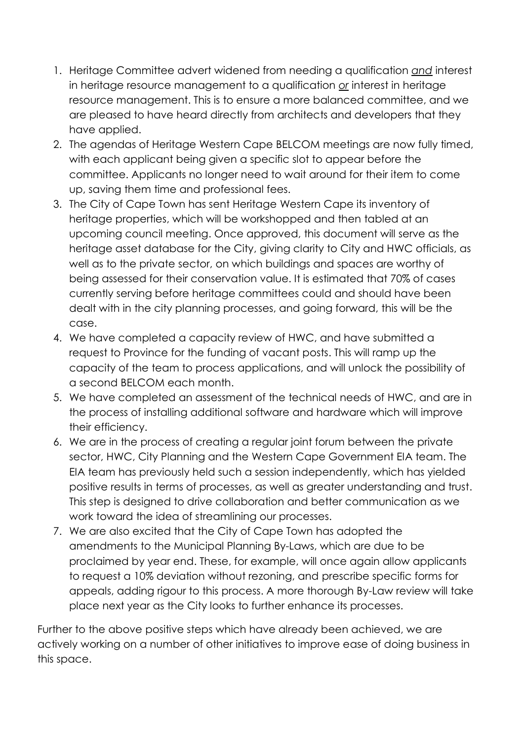- 1. Heritage Committee advert widened from needing a qualification *and* interest in heritage resource management to a qualification *or* interest in heritage resource management. This is to ensure a more balanced committee, and we are pleased to have heard directly from architects and developers that they have applied.
- 2. The agendas of Heritage Western Cape BELCOM meetings are now fully timed, with each applicant being given a specific slot to appear before the committee. Applicants no longer need to wait around for their item to come up, saving them time and professional fees.
- 3. The City of Cape Town has sent Heritage Western Cape its inventory of heritage properties, which will be workshopped and then tabled at an upcoming council meeting. Once approved, this document will serve as the heritage asset database for the City, giving clarity to City and HWC officials, as well as to the private sector, on which buildings and spaces are worthy of being assessed for their conservation value. It is estimated that 70% of cases currently serving before heritage committees could and should have been dealt with in the city planning processes, and going forward, this will be the case.
- 4. We have completed a capacity review of HWC, and have submitted a request to Province for the funding of vacant posts. This will ramp up the capacity of the team to process applications, and will unlock the possibility of a second BELCOM each month.
- 5. We have completed an assessment of the technical needs of HWC, and are in the process of installing additional software and hardware which will improve their efficiency.
- 6. We are in the process of creating a regular joint forum between the private sector, HWC, City Planning and the Western Cape Government EIA team. The EIA team has previously held such a session independently, which has yielded positive results in terms of processes, as well as greater understanding and trust. This step is designed to drive collaboration and better communication as we work toward the idea of streamlining our processes.
- 7. We are also excited that the City of Cape Town has adopted the amendments to the Municipal Planning By-Laws, which are due to be proclaimed by year end. These, for example, will once again allow applicants to request a 10% deviation without rezoning, and prescribe specific forms for appeals, adding rigour to this process. A more thorough By-Law review will take place next year as the City looks to further enhance its processes.

Further to the above positive steps which have already been achieved, we are actively working on a number of other initiatives to improve ease of doing business in this space.